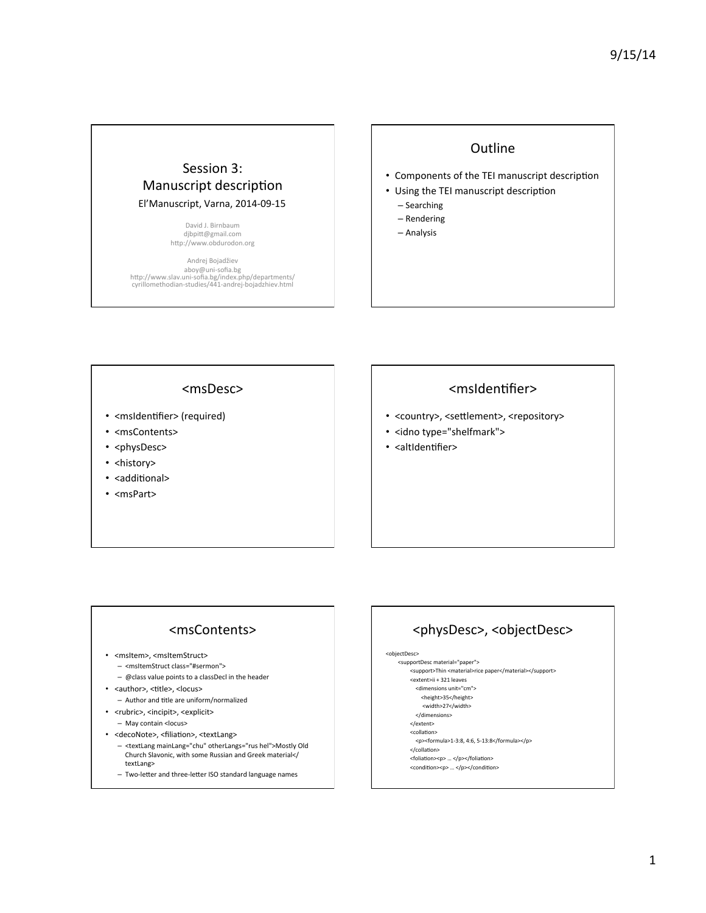## Session 3: Manuscript description El'Manuscript, Varna, 2014-09-15

David J. Birnbaum djbpitt@gmail.com http://www.obdurodon.org

Andrej Bojadžiev aboy@uni-sofia.bg<br>http://www.slav.uni-sofia.bg/index.php/departments/ cyrillomethodian-studies/441-andrej-bojadzhiev.html 

### **Outline**

- Components of the TEI manuscript description
- Using the TEI manuscript description
	- Searching
	- Rendering
	- Analysis

#### <msDesc>

- <msIdentifier> (required)
- <msContents>
- <physDesc>
- <history>
- <additional>
- <msPart>

## <msIdentifier>

- <country>, <settlement>, <repository>
- <idno type="shelfmark">
- <altIdentifier>

#### <msContents>

- <msItem>, <msItemStruct>
	- <msItemStruct class="#sermon">
	- $-$  @class value points to a classDecl in the header
- <author>, <title>, <locus>
- Author and title are uniform/normalized • <rubric>, <incipit>, <explicit>
- May contain <locus>
- <decoNote>, <filiation>, <textLang>
- <textLang mainLang="chu" otherLangs="rus hel">Mostly Old Church Slavonic, with some Russian and Greek material</ textLang>
- $-$  Two-letter and three-letter ISO standard language names

# <physDesc>, <objectDesc>

<objectDesc> 

- <supportDesc material="paper"> <support>Thin <material>rice paper</material></support>
	- <extent>ii + 321 leaves <dimensions unit="cm">
		- <height>35</height>
		- <width>27</width>
	- </dimensions>
	-
	- </extent> <collation>
	- <p><formula>1-3:8, 4:6, 5-13:8</formula></p>
	- </collation>
	- <foliation><p> ... </p></foliation> <condition><p> ... </p></condition>